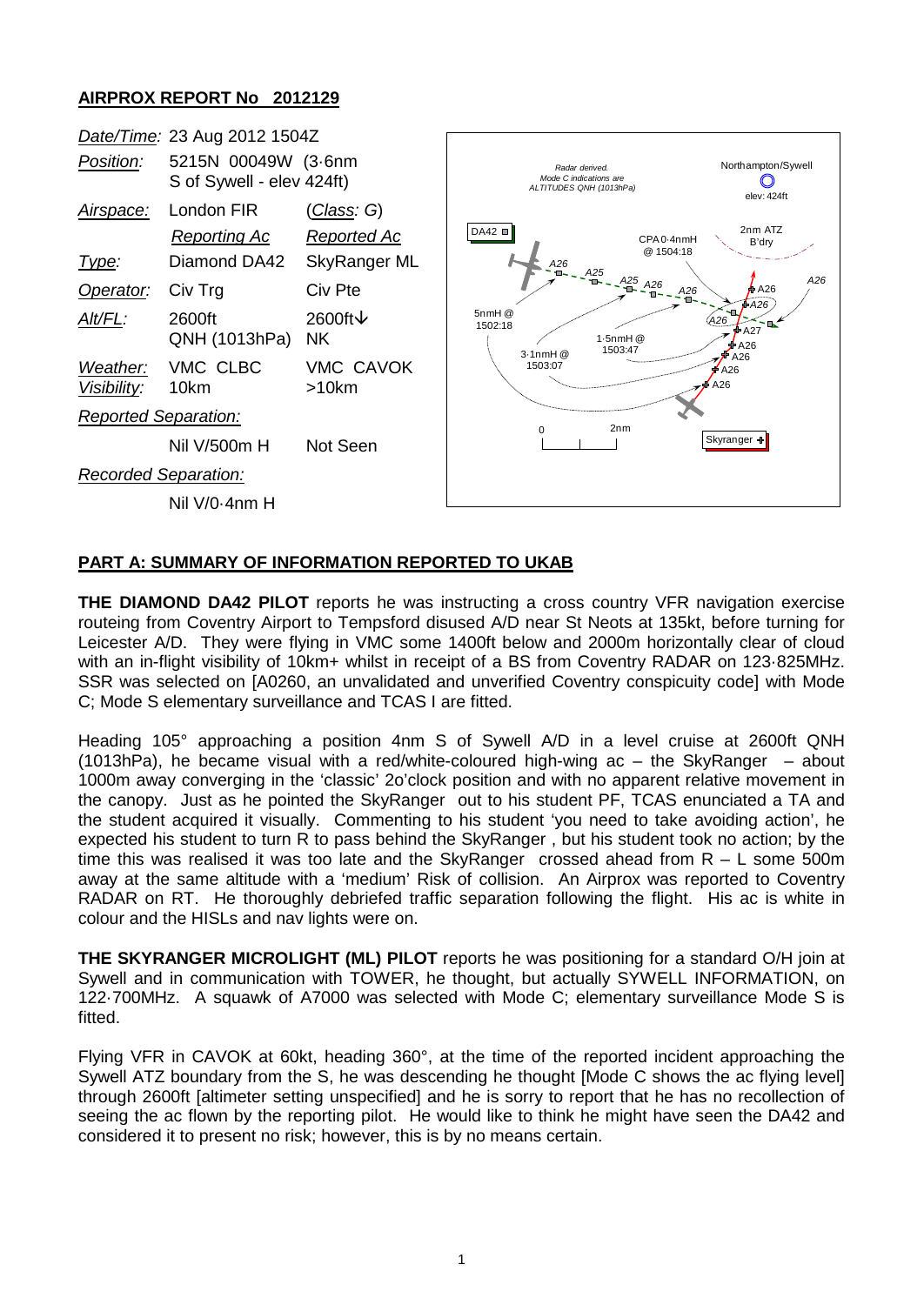## **AIRPROX REPORT No 2012129**



## **PART A: SUMMARY OF INFORMATION REPORTED TO UKAB**

**THE DIAMOND DA42 PILOT** reports he was instructing a cross country VFR navigation exercise routeing from Coventry Airport to Tempsford disused A/D near St Neots at 135kt, before turning for Leicester A/D. They were flying in VMC some 1400ft below and 2000m horizontally clear of cloud with an in-flight visibility of 10km+ whilst in receipt of a BS from Coventry RADAR on 123·825MHz. SSR was selected on [A0260, an unvalidated and unverified Coventry conspicuity code] with Mode C; Mode S elementary surveillance and TCAS I are fitted.

Heading 105° approaching a position 4nm S of Sywell A/D in a level cruise at 2600ft QNH (1013hPa), he became visual with a red/white-coloured high-wing  $ac - the SkyRange - about$ 1000m away converging in the 'classic' 2o'clock position and with no apparent relative movement in the canopy. Just as he pointed the SkyRanger out to his student PF, TCAS enunciated a TA and the student acquired it visually. Commenting to his student 'you need to take avoiding action', he expected his student to turn R to pass behind the SkyRanger , but his student took no action; by the time this was realised it was too late and the SkyRanger crossed ahead from  $R - L$  some 500m away at the same altitude with a 'medium' Risk of collision. An Airprox was reported to Coventry RADAR on RT. He thoroughly debriefed traffic separation following the flight. His ac is white in colour and the HISLs and nav lights were on.

**THE SKYRANGER MICROLIGHT (ML) PILOT** reports he was positioning for a standard O/H join at Sywell and in communication with TOWER, he thought, but actually SYWELL INFORMATION, on 122·700MHz. A squawk of A7000 was selected with Mode C; elementary surveillance Mode S is fitted.

Flying VFR in CAVOK at 60kt, heading 360°, at the time of the reported incident approaching the Sywell ATZ boundary from the S, he was descending he thought [Mode C shows the ac flying level] through 2600ft [altimeter setting unspecified] and he is sorry to report that he has no recollection of seeing the ac flown by the reporting pilot. He would like to think he might have seen the DA42 and considered it to present no risk; however, this is by no means certain.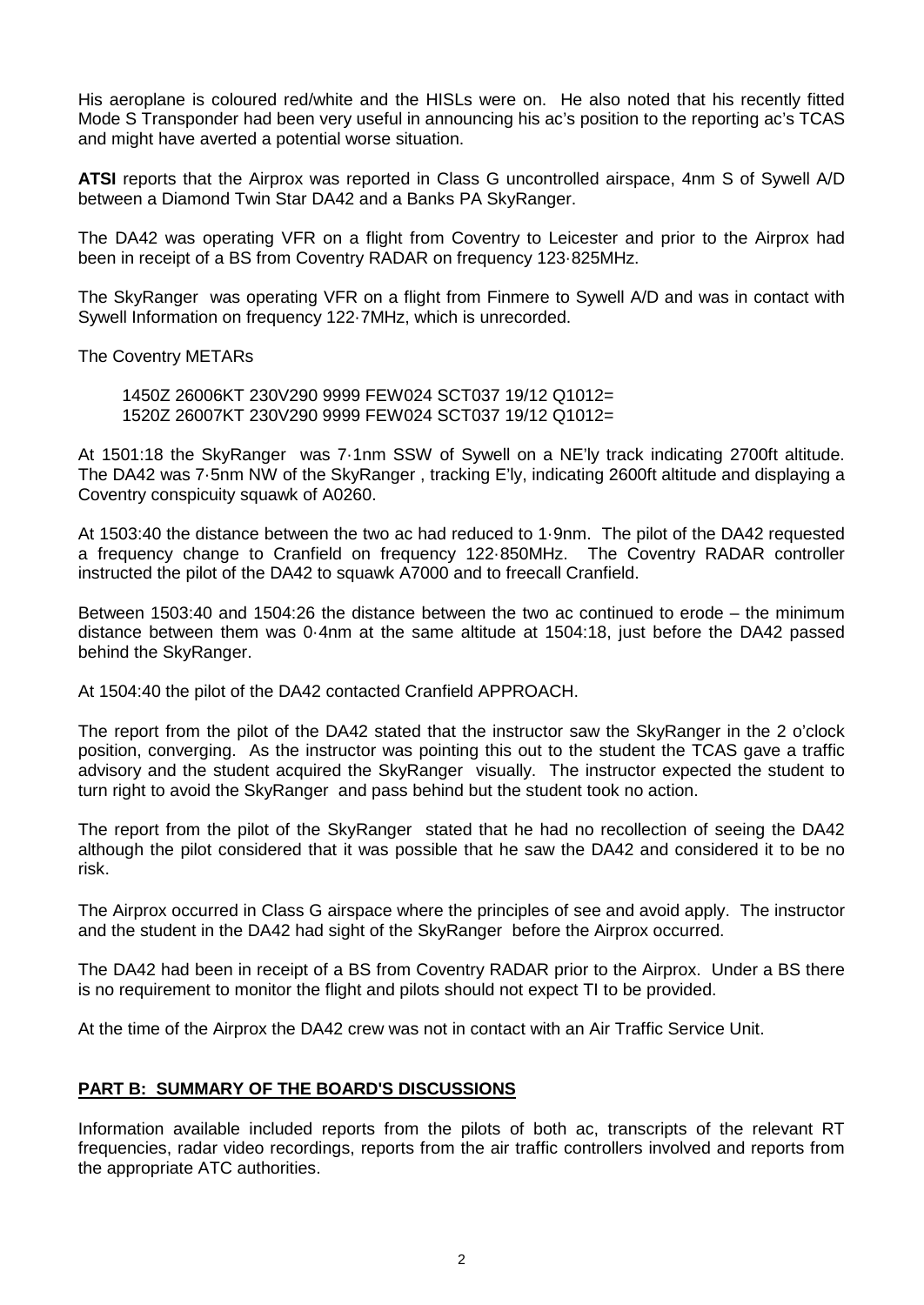His aeroplane is coloured red/white and the HISLs were on. He also noted that his recently fitted Mode S Transponder had been very useful in announcing his ac's position to the reporting ac's TCAS and might have averted a potential worse situation.

**ATSI** reports that the Airprox was reported in Class G uncontrolled airspace, 4nm S of Sywell A/D between a Diamond Twin Star DA42 and a Banks PA SkyRanger.

The DA42 was operating VFR on a flight from Coventry to Leicester and prior to the Airprox had been in receipt of a BS from Coventry RADAR on frequency 123·825MHz.

The SkyRanger was operating VFR on a flight from Finmere to Sywell A/D and was in contact with Sywell Information on frequency 122·7MHz, which is unrecorded.

The Coventry METARs

1450Z 26006KT 230V290 9999 FEW024 SCT037 19/12 Q1012= 1520Z 26007KT 230V290 9999 FEW024 SCT037 19/12 Q1012=

At 1501:18 the SkyRanger was 7·1nm SSW of Sywell on a NE'ly track indicating 2700ft altitude. The DA42 was 7·5nm NW of the SkyRanger , tracking E'ly, indicating 2600ft altitude and displaying a Coventry conspicuity squawk of A0260.

At 1503:40 the distance between the two ac had reduced to 1·9nm. The pilot of the DA42 requested a frequency change to Cranfield on frequency 122·850MHz. The Coventry RADAR controller instructed the pilot of the DA42 to squawk A7000 and to freecall Cranfield.

Between 1503:40 and 1504:26 the distance between the two ac continued to erode – the minimum distance between them was 0·4nm at the same altitude at 1504:18, just before the DA42 passed behind the SkyRanger.

At 1504:40 the pilot of the DA42 contacted Cranfield APPROACH.

The report from the pilot of the DA42 stated that the instructor saw the SkyRanger in the 2 o'clock position, converging. As the instructor was pointing this out to the student the TCAS gave a traffic advisory and the student acquired the SkyRanger visually. The instructor expected the student to turn right to avoid the SkyRanger and pass behind but the student took no action.

The report from the pilot of the SkyRanger stated that he had no recollection of seeing the DA42 although the pilot considered that it was possible that he saw the DA42 and considered it to be no risk.

The Airprox occurred in Class G airspace where the principles of see and avoid apply. The instructor and the student in the DA42 had sight of the SkyRanger before the Airprox occurred.

The DA42 had been in receipt of a BS from Coventry RADAR prior to the Airprox. Under a BS there is no requirement to monitor the flight and pilots should not expect TI to be provided.

At the time of the Airprox the DA42 crew was not in contact with an Air Traffic Service Unit.

## **PART B: SUMMARY OF THE BOARD'S DISCUSSIONS**

Information available included reports from the pilots of both ac, transcripts of the relevant RT frequencies, radar video recordings, reports from the air traffic controllers involved and reports from the appropriate ATC authorities.